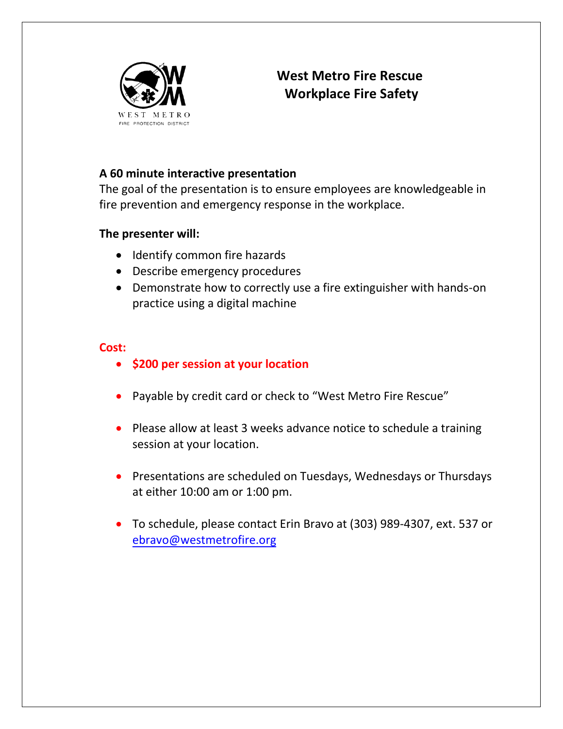

## **West Metro Fire Rescue Workplace Fire Safety**

### **A 60 minute interactive presentation**

The goal of the presentation is to ensure employees are knowledgeable in fire prevention and emergency response in the workplace.

#### **The presenter will:**

- Identify common fire hazards
- Describe emergency procedures
- Demonstrate how to correctly use a fire extinguisher with hands-on practice using a digital machine

#### **Cost:**

- **\$200 per session at your location**
- Payable by credit card or check to "West Metro Fire Rescue"
- Please allow at least 3 weeks advance notice to schedule a training session at your location.
- Presentations are scheduled on Tuesdays, Wednesdays or Thursdays at either 10:00 am or 1:00 pm.
- To schedule, please contact Erin Bravo at (303) 989-4307, ext. 537 or ebravo[@westmetrofire.org](mailto:ssaito@westmetrofire.org)